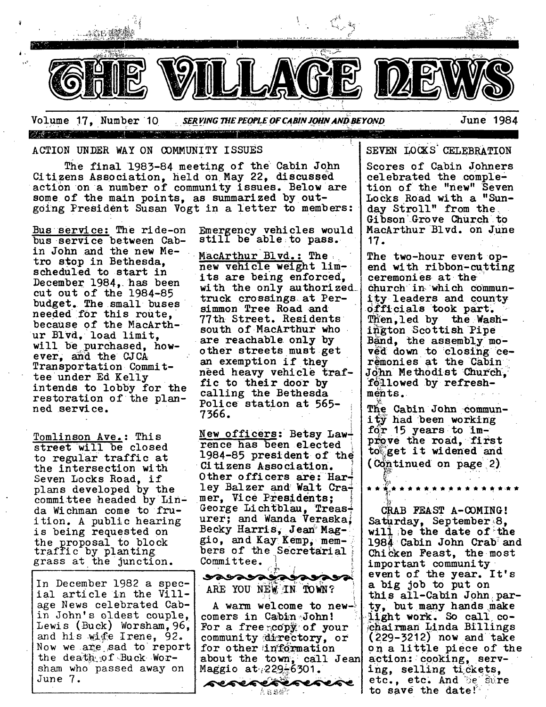

Volume 17, Number 10 --- - ........ -'~ \_\_-7- II ........ *• ~R~'~r~; ~S. PEO,"L~ OF C~N IO~V.4NDIm~YOSVD* June" <sup>1984</sup>

## ACTION UNDER WAY ON COMMUNITY ISSUES

The final 1983-84 meeting of the Cabin John Citizens Association, held on May 22, discussed action on a number of community issues. Below are some of the main points, as summarized by outgoing President Susan Vogt in a letter to members:

Bus service: The ride-on Emergency vehicles would bus service between Cab- still be able to pass. in John and the new Me- $M$ acArthur Blvd.: The tro stop in Bethesda, scheduled to start in December 1984, has been cut out of the  $1984-85$ budget. The small buses needed for this route. because of the MacArthur Blvd, load limit, will be purchased, however, and the CJCA Transportation Committee under Ed Kelly intends to lobby for the restoration of the planned service.

Tomlinson Ave.: This street Will be closed to regular traffic at the intersection with Seven Locks Road, if plans developed by the committee headed by Linda Wichman come to fruition. A public hearing is being requested on the proposal to block traffic by Planting grass at the junction.

In December 1982 a special article in the Village News celebrated Cabin John's oldest couple, Lewis (Buck) Worsham, 96, and his wife Irene,  $92.$ Now we are sad to report the death of Buck Worsham who passed away on June 7.

new vehicle weight limits are being enforced, with the only authorized\_ truck crossings, at Persimmon Tree Road and 77th Street. Residents south of MacArthur who are reachable only by other streets must get an exemption if they need heavy vehicle traffic to their door by calling the Bethesda Police station at 565-7366.

New officers: Betsy Lawfence has been elected 1984-85 president of the Citizens Association. Other officers are: Harley Balzer and Walt Cramer, Vice Presidents; George Lichtblau, Treas<sup>+</sup> urer; and Wanda Veraska. Becky Harris, Jean Maggio, and Kay' Kemp,~members of the Secretarial Committee

ARE YOU NEW IN TOWN? A warm welcome to new- $\delta$ comers in Cabin John! For a free  $\sim$  of your community directory, or for other information about the town, call Jean  $M$ aggio at $\sqrt{229-6301}$ . sesesesesese

*k* នេ&៊ី។

ereacareacac

SEVEN LOCKS CELEBRATION

Scores of Cabin Johners celebrated the completion of the "new" Seven Locks Road with a "Sunday Stroll" from the Gibson Grove Church to MacArthur Blvd. on June 17.

The two-hour event opend with ribbon- cutting ceremonies at the Church in, which communty leaders and county officials took part. Then, led by the Washington Scottish Pipe  $B\$ and, the assembly moved down to closing ceremonies at the Cabin John Methodist Church. followed by refreshments.

The Cabin John community had been working  $for 15 years to im$ prove the road, first toget it widened and (Continued on page 2)

CRAB FEAST A-0OMING' Saturday, September 8, will be the date of the 1984 Cabin John Crab and Chicken Feast, the most important community event of the year. It's a big job to put on this all-Cabin John party, but many hands make light work. So call cochairman Linda Billings (229-32i2) now and take on a little piece of the action: cooking, serving, selling tickets, etc., etc. And De Sure to save the date!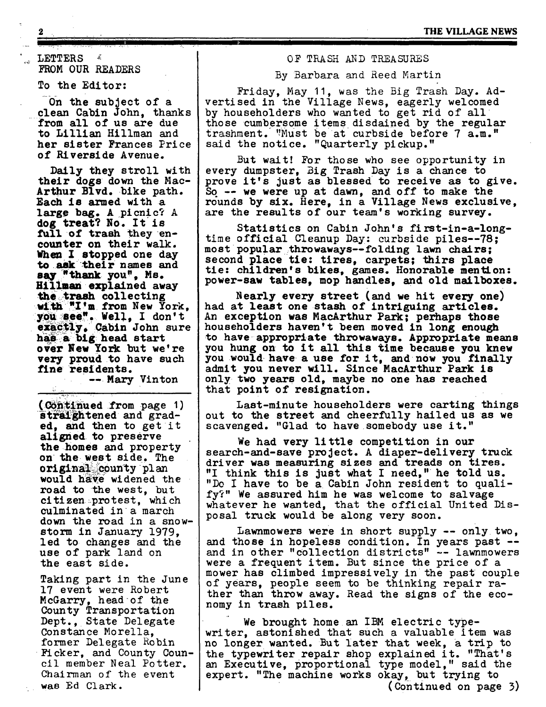~ LETTERS  $\mathbf{x}$ FROM OUR READERS

1 .......................

To the Editor:

On the subject of a clean Cabin John, thanks from all of us are due to Lillian Hillman and her sister Frances Price of Riverside Avenue.

Daily they stroll with their dogs down the Mac-Arthur Blvd. bike path. Each is armed with a large bag. A picnic? A dog treat? No. It is full of trash they encounter on their walk. When I stopped one day **to ask their** names and say "thank you", Ms. **Hillman** explained away the trash collecting with "I'm from New York, you see". Well, I don't **Cabin John sure**  has a big head start over New york but we're very proud to have such **fine** residents.

--. Mary Vinton

(Continued from page 1) straightened and graded, and then to get it aligned to preserve the homes and property on the west side. The original county plan would have widened the road to the west, but citizen ~protest, which culminated in a march down the road in a snowstorm in January 1979, led to changes and the use of park land on the east side.

Taking part in the June 17 event were Robert McGarry, head of the County Transportation Dept., State Delegate Constance Morella, former Delegate Robin Ficker, and County Council member Neal Potter. Chairman of the event was Ed Clark.

# OF TRASH AND TREASURES

I

By Barbara and Reed Martin

Friday, May 11, was the Big Trash Day. Advertised in the Village News, eagerly welcomed by householders who wanted to get rid of all those cumbersome items disdained by the regular trashment. "Must be at curbside before 7 a.m." said the notice. "Quarterly pickup."

But wait' For those who see opportunity in every dumpster, Big Trash Day is a chance to prove it's just as blessed to receive as to give.  $\overline{S_0}$  -- we were up at dawn, and off to make the rounds by six. Here, in a Village News exclusive, are the results of our team's working survey.

Statistics on Cabin John's first-in-a-longtime official Cleanup Day: curbside piles--78; most popular throwaways--folding lawn chairs; second place tie: tires, carpets; thirs place tie: children's bikes, games. Honorable mention: power-saw tables, mop handles, and old mailboxes.

Nearly every street (and we hit every one) had at least one stash of intriguing articles. An exception was MacArthur Park; perhaps those householders haven't been moved in long enough to have appropriate throwaways. Appropriate means you hung on to it all this time because you knew you would have a use for it, and now you finally admit you never will. Since MacArthur Park is only two years old, maybe no one has reached that point of resignation.

Last-minute householders were carting things out to the street and cheerfully hailed us as we scavenged. "Glad to have somebody use it."

We had very little competition in our search-and-save project. A diaper-delivery truck driver was measuring sizes and treads on tires. "I think this is just what I need," he told us. "Do I have to be a Cabin John resident to qualify?" We assured him he was welcome to salvage whatever he wanted, that the official United Disposal truck would be along very soon.

Lawnmowers were in short supply -- only two, and those in hopeless condition. In years past - and in other "collection districts" -- lawnmowers were a frequent item. But since the price of a mower has climbed impressively in the past couple of years, people seem to be thinking repair rather than throw away. Read the signs of the economy in trash piles.

We brought home an IBM electric typewriter, astonished that such a valuable item was no longer wanted. But later that week, a trip to the typewriter repair shop explained it. "That's an Executive, proportional type model," said the expert. "The machine works okay, but trying to (Continued on page 3)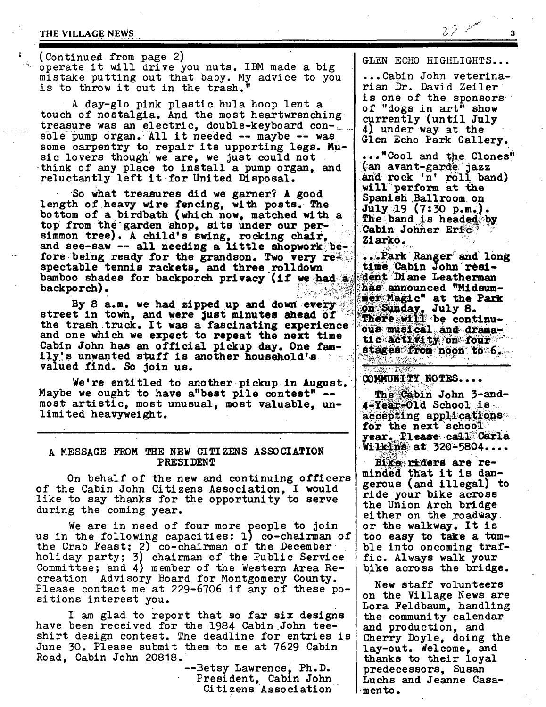## THE VILLAGE NEWS

 $\mathcal{L}_{\mathcal{E}_{\mathcal{E}_{\mathcal{E}}}}$ 

(Continued from page 2) operate it will drive you nuts. IBM made a big mistake putting out that baby. My advice to you is to throw it out in the trash."

A day-glo pink plastic hula hoop lent a touch of nostalgia. And the most heartwrenching treasure was an electric, double-keyboard console pump organ. All it needed -- maybe -- was some carpentry to repair its upporting legs. Music lovers though we are, we just could not think of any place to install a pump organ. and reluctantly left it for United Disposal.

So what treasures did we garner? A good length of heavy wire fencing, with posts. The bottom of a birdbath (which now, matched with a top from the garden shop, sits under our persimmon tree). A child's swing, rocking chair, and see-saw -- all needing a little shopwork before being ready for the grandson. Two very really spectable tennis rackets, and three rolldown bamboo shades for backporch privacy (if we had a backporch). L BOWNER

By 8 a.m. we had zipped up and down every street in town, and were just minutes ahead of the trash truck. It was a fascinating experience and one which we expect to repeat the next time Cabin John has an official pickup day. One family's unwanted stuff is another household's valued find. So join us.

We're entitled to another pickup in August. Maybe we ought to have a"best pile contest" -most artistic, most unusual, most valuable, unlimited heavyweight.

# A MESSAGE FROM THE NEW CITIZENS ASSOCIATION PRESIDENT

On behalf of the new and continuing officers of the Cabin John Citizens Association, I would like to say thanks for the opportunity to serve during the coming year.

We are in need of four more people to join us in the following capacities: 1) co-chairman of the Crab Feast; 2) co-chairman of the December<br>holiday party; 3) chairman of the Public Service Committee; and 4) member of the Western Area Recreation Advisory Board for Montgomery County.<br>Please contact me at 229-6706 if any of these positions interest you.

I am glad to report that so far six designs have been received for the 1984 Cabin John teeshirt design contest. The deadline for entries is June 30. Please submit them to me at 7629 Cabin Road, Cabin John 20818.

--Betsy Lawrence, Ph.D. President, Cabin John Citizens Association GLEN ECHO HIGHLIGHTS...

 $23 - 10$ 

...Cabin John veterinarian Dr. David Zeiler is one of the sponsors of "dogs in art" show currently (until July 4) under way at the Glen Echo Park Gallery.

..."Cool and the Clones" (an avant-garde jazz and rock 'n' roll band) will perform at the Spanish Ballroom on  $July 19 (7:30 p.m.).$ The band is headed by Cabin Johner Eric Ziarko.

...Park Ranger and long time Cabin John resident Diane Leatherman has announced "Midsummer Magic" at the Park on Sunday, July 8. There will be continuous musical and dramatic activity on four stages from noon to 6. **PONE RESEARC** 

COMMUNITY NOTES....

「若原彦」 「開発」

The Cabin John 3-and-**4-Year-01d School is.** accepting applications for the next school year. Please call Carla **Wilkins at 320-5804....** 

Bike riders are reminded that it is dangerous (and illegal) to ride your bike across the Union Arch bridge either on the roadway. or the walkway. It is too easy to take a tumble into oncoming traffic. Always walk your bike across the bridge.

New staff volunteers on the Village News are Lora Feldbaum, handling the community calendar and production, and Cherry Doyle, doing the lay-out. Welcome, and thanks to their loyal predecessors, Susan Luchs and Jeanne Casa- $\cdot$ mento.